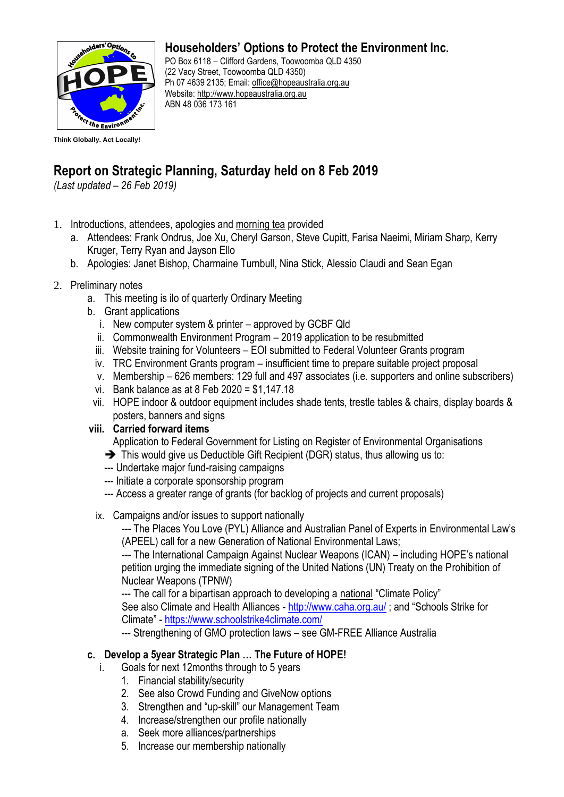

### **Householders' Options to Protect the Environment Inc.**

PO Box 6118 – Clifford Gardens, Toowoomba QLD 4350 (22 Vacy Street, Toowoomba QLD 4350) Ph 07 4639 2135; Email: [office@hopeaustralia.org.au](mailto:office@hopeaustralia.org.au)  Website: [http://www.hopeaustralia.org.au](http://www.hopeaustralia.org.au/) ABN 48 036 173 161

# **Report on Strategic Planning, Saturday held on 8 Feb 2019**

*(Last updated – 26 Feb 2019)*

- 1. Introductions, attendees, apologies and morning tea provided
	- a. Attendees: Frank Ondrus, Joe Xu, Cheryl Garson, Steve Cupitt, Farisa Naeimi, Miriam Sharp, Kerry Kruger, Terry Ryan and Jayson Ello
	- b. Apologies: Janet Bishop, Charmaine Turnbull, Nina Stick, Alessio Claudi and Sean Egan
- 2. Preliminary notes
	- a. This meeting is ilo of quarterly Ordinary Meeting
	- b. Grant applications
		- i. New computer system & printer approved by GCBF Qld
		- ii. Commonwealth Environment Program 2019 application to be resubmitted
		- iii. Website training for Volunteers EOI submitted to Federal Volunteer Grants program
		- iv. TRC Environment Grants program insufficient time to prepare suitable project proposal
		- v. Membership 626 members: 129 full and 497 associates (i.e. supporters and online subscribers)
		- vi. Bank balance as at 8 Feb 2020 = \$1,147.18
	- vii. HOPE indoor & outdoor equipment includes shade tents, trestle tables & chairs, display boards & posters, banners and signs
	- **viii. Carried forward items**

Application to Federal Government for Listing on Register of Environmental Organisations

- ➔ This would give us Deductible Gift Recipient (DGR) status, thus allowing us to:
- --- Undertake major fund-raising campaigns
- --- Initiate a corporate sponsorship program
- --- Access a greater range of grants (for backlog of projects and current proposals)
- ix. Campaigns and/or issues to support nationally

--- The Places You Love (PYL) Alliance and Australian Panel of Experts in Environmental Law's (APEEL) call for a new Generation of National Environmental Laws;

--- The International Campaign Against Nuclear Weapons (ICAN) – including HOPE's national petition urging the immediate signing of the United Nations (UN) Treaty on the Prohibition of Nuclear Weapons (TPNW)

--- The call for a bipartisan approach to developing a national "Climate Policy" See also Climate and Health Alliances - <http://www.caha.org.au/> ; and "Schools Strike for Climate" - <https://www.schoolstrike4climate.com/>

--- Strengthening of GMO protection laws – see GM-FREE Alliance Australia

## **c. Develop a 5year Strategic Plan … The Future of HOPE!**

- i. Goals for next 12months through to 5 years
	- 1. Financial stability/security
	- 2. See also Crowd Funding and GiveNow options
	- 3. Strengthen and "up-skill" our Management Team
	- 4. Increase/strengthen our profile nationally
	- a. Seek more alliances/partnerships
	- 5. Increase our membership nationally